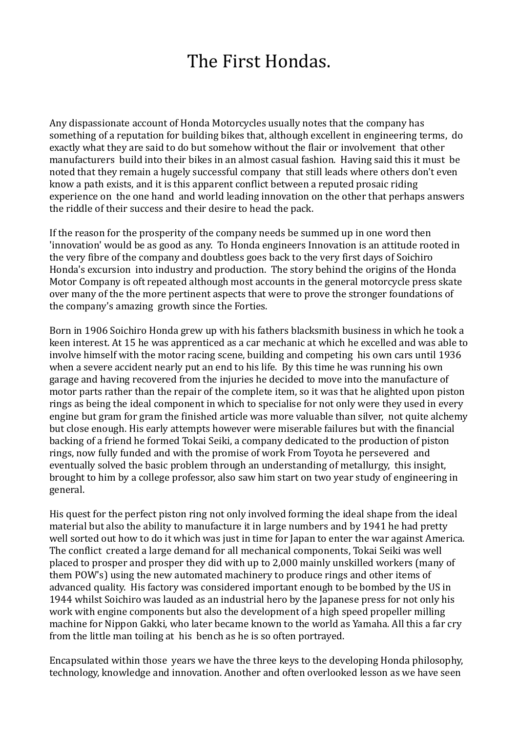## The First Hondas.

Any dispassionate account of Honda Motorcycles usually notes that the company has something of a reputation for building bikes that, although excellent in engineering terms, do exactly what they are said to do but somehow without the flair or involvement that other manufacturers build into their bikes in an almost casual fashion. Having said this it must be noted that they remain a hugely successful company that still leads where others don't even know a path exists, and it is this apparent conflict between a reputed prosaic riding experience on the one hand and world leading innovation on the other that perhaps answers the riddle of their success and their desire to head the pack.

If the reason for the prosperity of the company needs be summed up in one word then 'innovation' would be as good as any. To Honda engineers Innovation is an attitude rooted in the very fibre of the company and doubtless goes back to the very first days of Soichiro Honda's excursion into industry and production. The story behind the origins of the Honda Motor Company is oft repeated although most accounts in the general motorcycle press skate over many of the the more pertinent aspects that were to prove the stronger foundations of the company's amazing growth since the Forties.

Born in 1906 Soichiro Honda grew up with his fathers blacksmith business in which he took a keen interest. At 15 he was apprenticed as a car mechanic at which he excelled and was able to involve himself with the motor racing scene, building and competing his own cars until 1936 when a severe accident nearly put an end to his life. By this time he was running his own garage and having recovered from the injuries he decided to move into the manufacture of motor parts rather than the repair of the complete item, so it was that he alighted upon piston rings as being the ideal component in which to specialise for not only were they used in every engine but gram for gram the finished article was more valuable than silver, not quite alchemy but close enough. His early attempts however were miserable failures but with the financial backing of a friend he formed Tokai Seiki, a company dedicated to the production of piston rings, now fully funded and with the promise of work From Toyota he persevered and eventually solved the basic problem through an understanding of metallurgy, this insight, brought to him by a college professor, also saw him start on two year study of engineering in general.

His quest for the perfect piston ring not only involved forming the ideal shape from the ideal material but also the ability to manufacture it in large numbers and by 1941 he had pretty well sorted out how to do it which was just in time for Japan to enter the war against America. The conflict created a large demand for all mechanical components, Tokai Seiki was well placed to prosper and prosper they did with up to 2,000 mainly unskilled workers (many of them POW's) using the new automated machinery to produce rings and other items of advanced quality. His factory was considered important enough to be bombed by the US in 1944 whilst Soichiro was lauded as an industrial hero by the Japanese press for not only his work with engine components but also the development of a high speed propeller milling machine for Nippon Gakki, who later became known to the world as Yamaha. All this a far cry from the little man toiling at his bench as he is so often portrayed.

Encapsulated within those years we have the three keys to the developing Honda philosophy, technology, knowledge and innovation. Another and often overlooked lesson as we have seen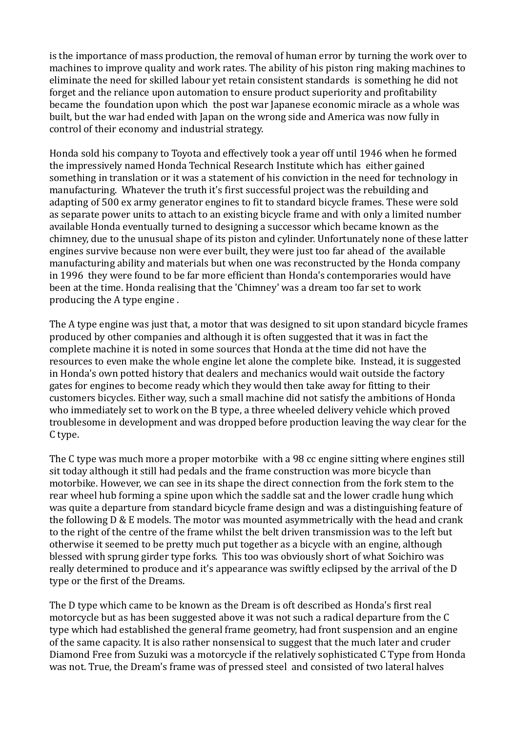is the importance of mass production, the removal of human error by turning the work over to machines to improve quality and work rates. The ability of his piston ring making machines to eliminate the need for skilled labour yet retain consistent standards is something he did not forget and the reliance upon automation to ensure product superiority and profitability became the foundation upon which the post war Japanese economic miracle as a whole was built, but the war had ended with Japan on the wrong side and America was now fully in control of their economy and industrial strategy.

Honda sold his company to Toyota and effectively took a year off until 1946 when he formed the impressively named Honda Technical Research Institute which has either gained something in translation or it was a statement of his conviction in the need for technology in manufacturing. Whatever the truth it's first successful project was the rebuilding and adapting of 500 ex army generator engines to fit to standard bicycle frames. These were sold as separate power units to attach to an existing bicycle frame and with only a limited number available Honda eventually turned to designing a successor which became known as the chimney, due to the unusual shape of its piston and cylinder. Unfortunately none of these latter engines survive because non were ever built, they were just too far ahead of the available manufacturing ability and materials but when one was reconstructed by the Honda company in 1996 they were found to be far more efficient than Honda's contemporaries would have been at the time. Honda realising that the 'Chimney' was a dream too far set to work producing the A type engine .

The A type engine was just that, a motor that was designed to sit upon standard bicycle frames produced by other companies and although it is often suggested that it was in fact the complete machine it is noted in some sources that Honda at the time did not have the resources to even make the whole engine let alone the complete bike. Instead, it is suggested in Honda's own potted history that dealers and mechanics would wait outside the factory gates for engines to become ready which they would then take away for fitting to their customers bicycles. Either way, such a small machine did not satisfy the ambitions of Honda who immediately set to work on the B type, a three wheeled delivery vehicle which proved troublesome in development and was dropped before production leaving the way clear for the C type.

The C type was much more a proper motorbike with a 98 cc engine sitting where engines still sit today although it still had pedals and the frame construction was more bicycle than motorbike. However, we can see in its shape the direct connection from the fork stem to the rear wheel hub forming a spine upon which the saddle sat and the lower cradle hung which was quite a departure from standard bicycle frame design and was a distinguishing feature of the following D & E models. The motor was mounted asymmetrically with the head and crank to the right of the centre of the frame whilst the belt driven transmission was to the left but otherwise it seemed to be pretty much put together as a bicycle with an engine, although blessed with sprung girder type forks. This too was obviously short of what Soichiro was really determined to produce and it's appearance was swiftly eclipsed by the arrival of the D type or the first of the Dreams.

The D type which came to be known as the Dream is oft described as Honda's first real motorcycle but as has been suggested above it was not such a radical departure from the C type which had established the general frame geometry, had front suspension and an engine of the same capacity. It is also rather nonsensical to suggest that the much later and cruder Diamond Free from Suzuki was a motorcycle if the relatively sophisticated C Type from Honda was not. True, the Dream's frame was of pressed steel and consisted of two lateral halves